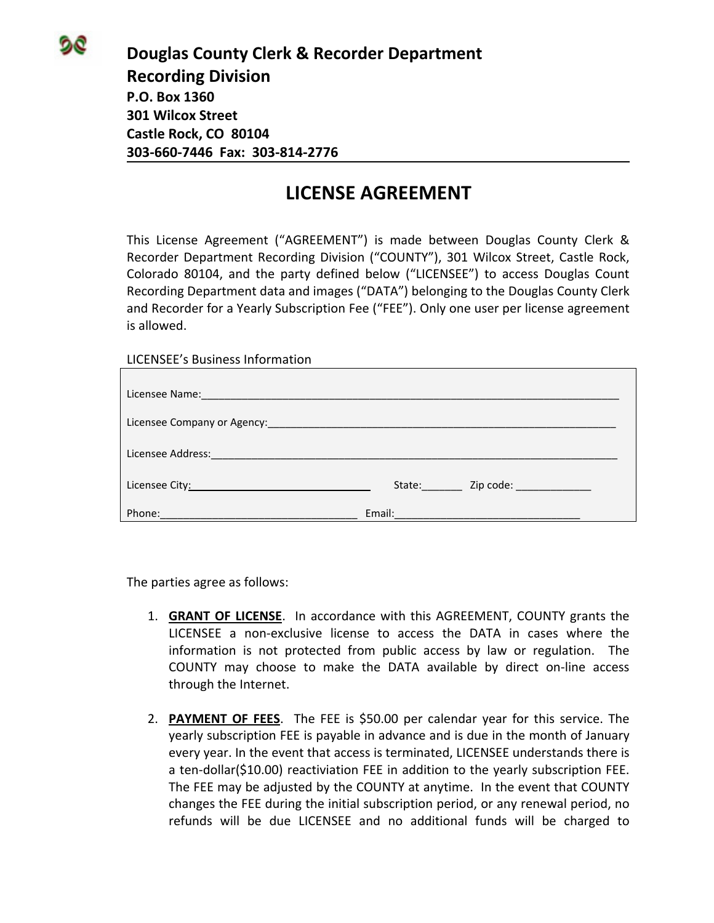**Douglas County Clerk & Recorder Department Recording Division P.O. Box 1360 301 Wilcox Street Castle Rock, CO 80104 303‐660‐7446 Fax: 303‐814‐2776**

## **LICENSE AGREEMENT**

This License Agreement ("AGREEMENT") is made between Douglas County Clerk & Recorder Department Recording Division ("COUNTY"), 301 Wilcox Street, Castle Rock, Colorado 80104, and the party defined below ("LICENSEE") to access Douglas Count Recording Department data and images ("DATA") belonging to the Douglas County Clerk and Recorder for a Yearly Subscription Fee ("FEE"). Only one user per license agreement is allowed.

LICENSEE's Business Information

| Licensee Name: 1990 and 200 and 200 and 200 and 200 and 200 and 200 and 200 and 200 and 200 and 200 and 200 and 200 and 200 and 200 and 200 and 200 and 200 and 200 and 200 and 200 and 200 and 200 and 200 and 200 and 200 an |                                                                                          |  |
|--------------------------------------------------------------------------------------------------------------------------------------------------------------------------------------------------------------------------------|------------------------------------------------------------------------------------------|--|
|                                                                                                                                                                                                                                |                                                                                          |  |
|                                                                                                                                                                                                                                |                                                                                          |  |
| Licensee City: Exercise City:                                                                                                                                                                                                  | Zip code: _____________<br>State:                                                        |  |
| Phone:                                                                                                                                                                                                                         | Email:<br>and the control of the control of the control of the control of the control of |  |

The parties agree as follows:

- 1. **GRANT OF LICENSE**. In accordance with this AGREEMENT, COUNTY grants the LICENSEE a non‐exclusive license to access the DATA in cases where the information is not protected from public access by law or regulation. The COUNTY may choose to make the DATA available by direct on‐line access through the Internet.
- 2. **PAYMENT OF FEES**. The FEE is \$50.00 per calendar year for this service. The yearly subscription FEE is payable in advance and is due in the month of January every year. In the event that access is terminated, LICENSEE understands there is a ten‐dollar(\$10.00) reactiviation FEE in addition to the yearly subscription FEE. The FEE may be adjusted by the COUNTY at anytime. In the event that COUNTY changes the FEE during the initial subscription period, or any renewal period, no refunds will be due LICENSEE and no additional funds will be charged to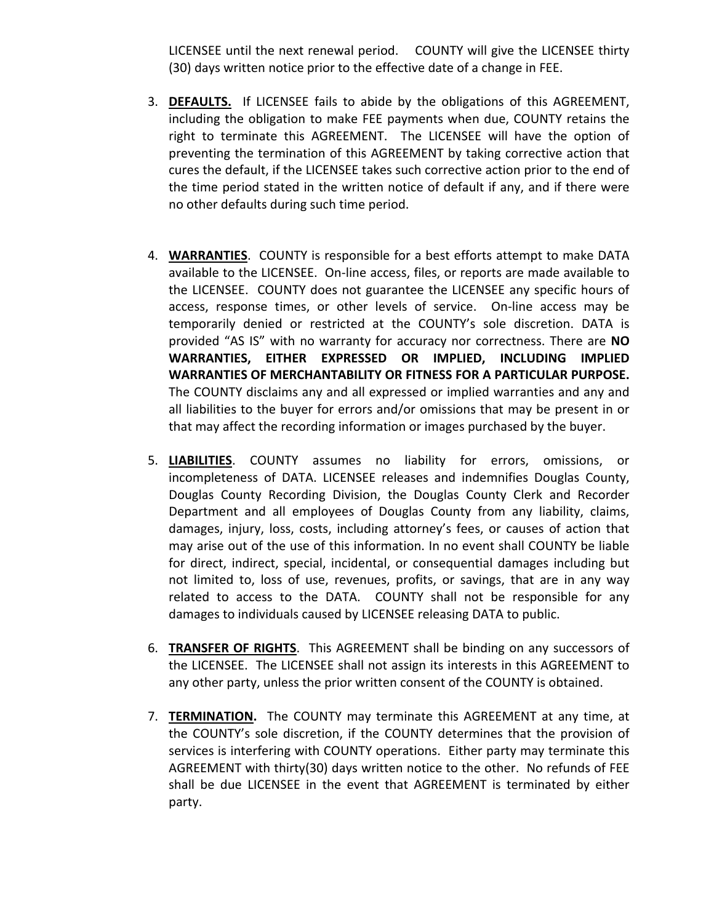LICENSEE until the next renewal period. COUNTY will give the LICENSEE thirty (30) days written notice prior to the effective date of a change in FEE.

- 3. **DEFAULTS.** If LICENSEE fails to abide by the obligations of this AGREEMENT, including the obligation to make FEE payments when due, COUNTY retains the right to terminate this AGREEMENT. The LICENSEE will have the option of preventing the termination of this AGREEMENT by taking corrective action that cures the default, if the LICENSEE takes such corrective action prior to the end of the time period stated in the written notice of default if any, and if there were no other defaults during such time period.
- 4. **WARRANTIES**. COUNTY is responsible for a best efforts attempt to make DATA available to the LICENSEE. On‐line access, files, or reports are made available to the LICENSEE. COUNTY does not guarantee the LICENSEE any specific hours of access, response times, or other levels of service. On‐line access may be temporarily denied or restricted at the COUNTY's sole discretion. DATA is provided "AS IS" with no warranty for accuracy nor correctness. There are **NO WARRANTIES, EITHER EXPRESSED OR IMPLIED, INCLUDING IMPLIED WARRANTIES OF MERCHANTABILITY OR FITNESS FOR A PARTICULAR PURPOSE.** The COUNTY disclaims any and all expressed or implied warranties and any and all liabilities to the buyer for errors and/or omissions that may be present in or that may affect the recording information or images purchased by the buyer.
- 5. **LIABILITIES**. COUNTY assumes no liability for errors, omissions, or incompleteness of DATA. LICENSEE releases and indemnifies Douglas County, Douglas County Recording Division, the Douglas County Clerk and Recorder Department and all employees of Douglas County from any liability, claims, damages, injury, loss, costs, including attorney's fees, or causes of action that may arise out of the use of this information. In no event shall COUNTY be liable for direct, indirect, special, incidental, or consequential damages including but not limited to, loss of use, revenues, profits, or savings, that are in any way related to access to the DATA. COUNTY shall not be responsible for any damages to individuals caused by LICENSEE releasing DATA to public.
- 6. **TRANSFER OF RIGHTS**. This AGREEMENT shall be binding on any successors of the LICENSEE. The LICENSEE shall not assign its interests in this AGREEMENT to any other party, unless the prior written consent of the COUNTY is obtained.
- 7. **TERMINATION.** The COUNTY may terminate this AGREEMENT at any time, at the COUNTY's sole discretion, if the COUNTY determines that the provision of services is interfering with COUNTY operations. Either party may terminate this AGREEMENT with thirty(30) days written notice to the other. No refunds of FEE shall be due LICENSEE in the event that AGREEMENT is terminated by either party.